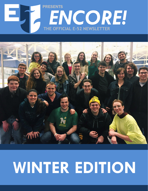#### $\sim$ **Weekly Newsletter** PRESENTS *ENCORE!* **THE OFFICIAL E-52 NEWSLETTER**



# **WINTER EDITION**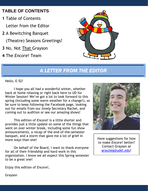#### **TABLE OF CONTENTS**

- **1** Table of Contents Letter from the Editor
- **2** A Bewitching Banquet

(Theatre) Seasons Greetings!

- **3** No, Not That Grayson
- **4** The *Encore!* Team



#### *A LETTER FROM THE EDITOR*

Hello, E-52!

I hope you all had a wonderful winter, whether back at home relaxing or right back here to UD for Winter Session! We've got a lot to look forward to this spring (including some warm weather for a change!), so be sure to keep following the Facebook page, looking out for emails from our *lovely* Secretary Rachel, and coming out to audition or see our amazing shows!

This edition of *Encore!* is a little shorter and provides just a little update on some of the things that went on over winter break, including some fun show announcements, a recap of the end-of-the-semester banquet, and a storm that gave me a lot of grief in more ways than one!

On behalf of the Board, I want to thank everyone for all of their friendship and hard work in this organization. I know we all expect this Spring semester to be a great one!



Have suggestions for how to make *Encore!* better? Contact Grayson at [grayzieg@udel.edu!](mailto:grayzieg@udel.edu)

Enjoy this edition of *Encore!*,

Grayson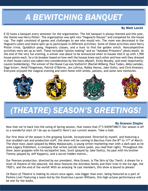# *A BEWITCHING BANQUET*

#### By Matt Leicht

E-52 hosts a banquet every semester for the organization. The fall banquet is always themed and this year, the theme was Harry Potter. The organization was split into "Hogwarts Houses" and competed for the house cup. The night consisted of games and challenges to see who would win. The room was decorated in the Hogwarts colors and teams split up to participate in different activities. Some of these activities were Harry Potter trivia, Quidditch pong, Hogwarts classes, and a hunt to find the golden snitch. Noncompetitive activities were set up as well. These included "potion making" and an "Azkaban Prisoners" photo booth. At the end of the very fun evening, a winner was about to be announced when to houses tied it up with 1,950 house points each. So a tie breaker based on how well the houses knew each other and how well they dressed in their house colors was taken into consideration by the hosts (Myself, Emily Murphy, and most importantly-Lauren Goldenberg). The winner of the House Cup was Slytherin! (Rachel Milberg, Paul Tudan, Abby Lamdan, Siggi Schorr, Heidi Fliegelman, Patrick O'Beirne, Jen Lohrius, Robby Hanna, Jake Steltz, and Chris Knieste). Everyone enjoyed the magical evening and went home with smiles, potions, and some new memories.



# *(THEATRE) SEASON'S GREETINGS!*

#### By Grayson Ziegler

Now that we're back into the swing of Spring session, that means that IT'S SHOWTIME!!! Our season is off to a wonderful start (if I do say so myself)! Here's our current season. Take a look:

Our first show of the season is the gripping *Suicide, Incorporated*. Directed by myself, and featuring a star-studded cast and production-staff, the show will be coming to Bacchus from the 8<sup>th</sup> to 11<sup>th</sup> of March. The show stars Jason (played by Mikey Malaszczyk), a young writer/marketing man with a dark past as he joins Legacy Publishers, a company that writes suicide notes (yeah, you read that right). Throughout the show Jason grapples with his sociopathic boss, Scott (played by Jake Steltz), his past with his brother Tommy (played by Jeff Kappers), and a secret hidden motive…

Our Pearson production, directed by our president, Nina Groom, is *The Skin of Our Teeth*. A dream for a lover of theatre-of-the-absured, the show features the Antrobus family and their lives in the Ice Age, the 1920's, and the end of the world! With an amazing 16 cast members, this show is bound to please!

*24 Hours of Theatre* is making its return once again, now bigger than ever, being featured as a part of Perkins Live! Featuring a team led by the illustrious Lauren Williams, this high-octane performance will be one for the books.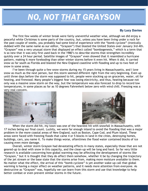# *NO, NOT THAT GRAYSON*

#### By Lucy Davies

The first few weeks of winter break were fairly uneventful weather wise, although we did enjoy a peaceful white Christmas is some parts of the country, but, unless you have been living under a rock for the past couple of weeks, you probably had some kind of experience with the "bomb cyclone" (ironically dubbed with the same name as our editor, "Grayson") that blasted the United States over January 3rd-4th. "Grayson" was a very unusual storm that displayed an effect called "bombogenesis," which is a term that is so new that it was only first used back in the 1980's to describe storms that strengthen incredibly quickly over a 24 hour period. Satellite images of "Grayson" even showed that it resembled a hurricane pattern, making it more foreboding than other winter storms before it even hit. When it did, it carried snow as far south as Florida and blasted the New England coastline with flooding and up to two feet of snow in some areas.

I've been through quite a few snow storms during my 15 years living in Massachusetts, and I love snow as much as the next person, but this storm seemed different right from the very beginning. Even up until three days before the storm was supposed to hit, people were stocking up on groceries, water, oil for heating, and firewood. Many people's biggest fear was losing electricity, and thus, heating because not only was a massive snow storm on the way, but the temperature was also forecast to drop to record low temperatures, in some places as far as 10 degrees Fahrenheit below zero with wind chill. Freezing was a very real concern.





problem in the more educted areas of new England, such as boston, cape cou, and ridin island. These areas were faced with freezing floods that came 4 or 5 blocks in land in the cities, destroying homes, buildings, cars, you name it. To make things worse, oftentimes the flood water contained blocks of ice<br>causing over more damage When the storm did hit, my town was one of the heaviest hit with snowfall in Massachusetts, with 17 inches being our final count. Luckily, we were far enough inland to avoid the flooding that was a major problem in the more coastal areas of New England, such as Boston, Cape Cod, and Plum island. These causing even more damage.

No matter what the effect, the arrival of this "bomb cyclone" is yet another wake-up call that global warming is naving a major effect on weather patterns, and it needs more attention from everyone. As<br>destructive as "Grayson" was, hopefully we can learn from this storm and use that knowledge to help better combat or even prevent similar storms in the future. Overall, winter storm Grayson had devastating effects in many states, especially those that are not geared-up to deal with snow in this capacity, and the clean-up will be long and hard. So far very little research is available concerning how global warming may be affecting the development of storms like "Grayson," but it is thought that they do affect them somehow, whether it be by changing the trajectory of the jet stream or the base state that the storms arise from, making more moisture available to them. warming is having a major effect on weather patterns, and it needs more attention from everyone. As